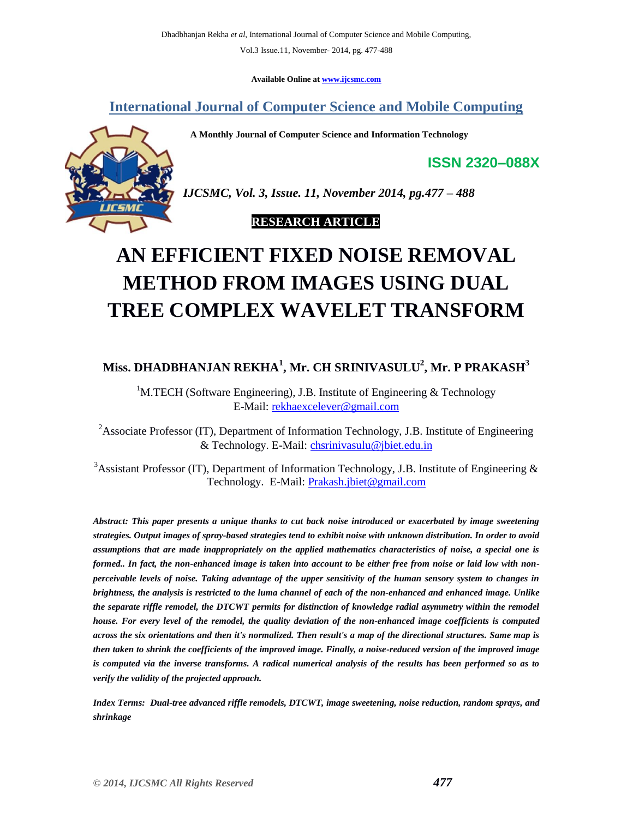**Available Online at www.ijcsmc.com**

**International Journal of Computer Science and Mobile Computing**

 **A Monthly Journal of Computer Science and Information Technology**



*IJCSMC, Vol. 3, Issue. 11, November 2014, pg.477 – 488*

**ISSN 2320–088X**

## **RESEARCH ARTICLE**

# **AN EFFICIENT FIXED NOISE REMOVAL METHOD FROM IMAGES USING DUAL TREE COMPLEX WAVELET TRANSFORM**

# **Miss. DHADBHANJAN REKHA<sup>1</sup> , Mr. CH SRINIVASULU<sup>2</sup> , Mr. P PRAKASH<sup>3</sup>**

<sup>1</sup>M.TECH (Software Engineering), J.B. Institute of Engineering  $\&$  Technology E-Mail: rekhaexcelever@gmail.com

<sup>2</sup>Associate Professor (IT), Department of Information Technology, J.B. Institute of Engineering & Technology. E-Mail: chsrinivasulu@jbiet.edu.in

<sup>3</sup>Assistant Professor (IT), Department of Information Technology, J.B. Institute of Engineering & Technology. E-Mail: Prakash.jbiet@gmail.com

*Abstract: This paper presents a unique thanks to cut back noise introduced or exacerbated by image sweetening strategies. Output images of spray-based strategies tend to exhibit noise with unknown distribution. In order to avoid assumptions that are made inappropriately on the applied mathematics characteristics of noise, a special one is formed.. In fact, the non-enhanced image is taken into account to be either free from noise or laid low with nonperceivable levels of noise. Taking advantage of the upper sensitivity of the human sensory system to changes in brightness, the analysis is restricted to the luma channel of each of the non-enhanced and enhanced image. Unlike the separate riffle remodel, the DTCWT permits for distinction of knowledge radial asymmetry within the remodel house. For every level of the remodel, the quality deviation of the non-enhanced image coefficients is computed across the six orientations and then it's normalized. Then result's a map of the directional structures. Same map is then taken to shrink the coefficients of the improved image. Finally, a noise-reduced version of the improved image is computed via the inverse transforms. A radical numerical analysis of the results has been performed so as to verify the validity of the projected approach.*

*Index Terms: Dual-tree advanced riffle remodels, DTCWT, image sweetening, noise reduction, random sprays, and shrinkage*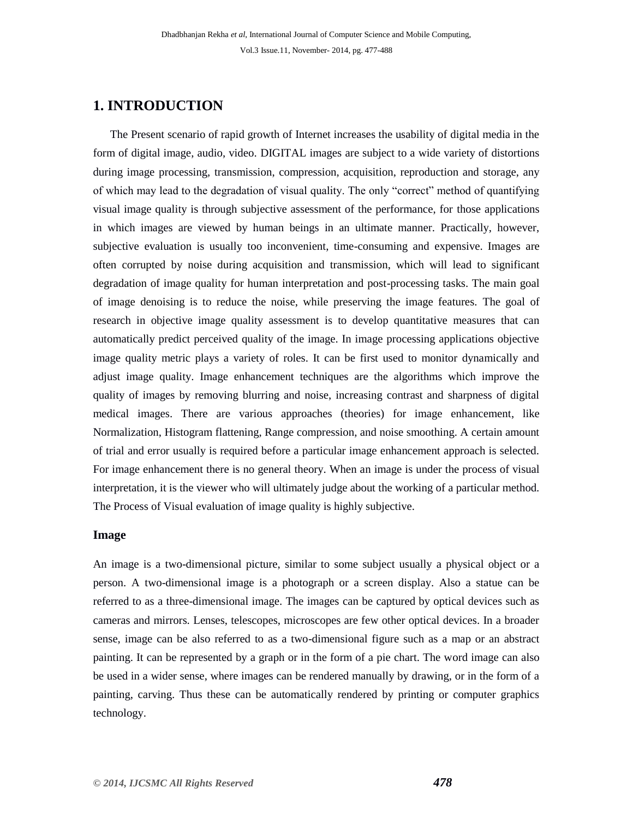# **1. INTRODUCTION**

 The Present scenario of rapid growth of Internet increases the usability of digital media in the form of digital image, audio, video. DIGITAL images are subject to a wide variety of distortions during image processing, transmission, compression, acquisition, reproduction and storage, any of which may lead to the degradation of visual quality. The only "correct" method of quantifying visual image quality is through subjective assessment of the performance, for those applications in which images are viewed by human beings in an ultimate manner. Practically, however, subjective evaluation is usually too inconvenient, time-consuming and expensive. Images are often corrupted by noise during acquisition and transmission, which will lead to significant degradation of image quality for human interpretation and post-processing tasks. The main goal of image denoising is to reduce the noise, while preserving the image features. The goal of research in objective image quality assessment is to develop quantitative measures that can automatically predict perceived quality of the image. In image processing applications objective image quality metric plays a variety of roles. It can be first used to monitor dynamically and adjust image quality. Image enhancement techniques are the algorithms which improve the quality of images by removing blurring and noise, increasing contrast and sharpness of digital medical images. There are various approaches (theories) for image enhancement, like Normalization, Histogram flattening, Range compression, and noise smoothing. A certain amount of trial and error usually is required before a particular image enhancement approach is selected. For image enhancement there is no general theory. When an image is under the process of visual interpretation, it is the viewer who will ultimately judge about the working of a particular method. The Process of Visual evaluation of image quality is highly subjective.

#### **Image**

An image is a two-dimensional picture, similar to some subject usually a physical object or a person. A two-dimensional image is a photograph or a screen display. Also a statue can be referred to as a three-dimensional image. The images can be captured by optical devices such as cameras and mirrors. Lenses, telescopes, microscopes are few other optical devices. In a broader sense, image can be also referred to as a two-dimensional figure such as a map or an abstract painting. It can be represented by a graph or in the form of a pie chart. The word image can also be used in a wider sense, where images can be rendered manually by drawing, or in the form of a painting, carving. Thus these can be automatically rendered by printing or computer graphics technology.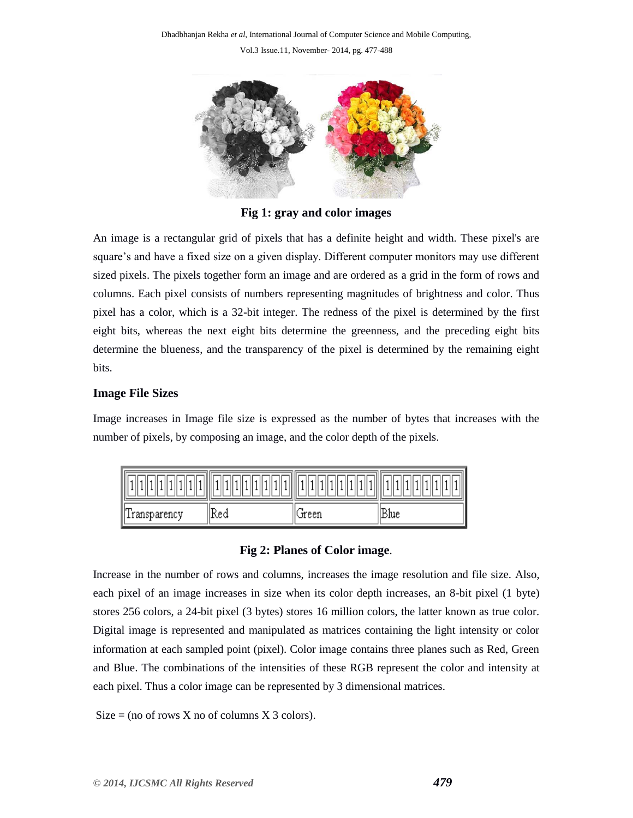

**Fig 1: gray and color images**

An image is a rectangular grid of pixels that has a definite height and width. These pixel's are square's and have a fixed size on a given display. Different computer monitors may use different sized pixels. The pixels together form an image and are ordered as a grid in the form of rows and columns. Each pixel consists of numbers representing magnitudes of brightness and color. Thus pixel has a color, which is a 32-bit integer. The redness of the pixel is determined by the first eight bits, whereas the next eight bits determine the greenness, and the preceding eight bits determine the blueness, and the transparency of the pixel is determined by the remaining eight bits.

### **Image File Sizes**

Image increases in Image file size is expressed as the number of bytes that increases with the number of pixels, by composing an image, and the color depth of the pixels.

| Transparency | Red | æ.<br>Green | IRMe |
|--------------|-----|-------------|------|

#### **Fig 2: Planes of Color image***.*

Increase in the number of rows and columns, increases the image resolution and file size. Also, each pixel of an image increases in size when its color depth increases, an 8-bit pixel (1 byte) stores 256 colors, a 24-bit pixel (3 bytes) stores 16 million colors, the latter known as true color. Digital image is represented and manipulated as matrices containing the light intensity or color information at each sampled point (pixel). Color image contains three planes such as Red, Green and Blue. The combinations of the intensities of these RGB represent the color and intensity at each pixel. Thus a color image can be represented by 3 dimensional matrices.

Size = (no of rows X no of columns X 3 colors).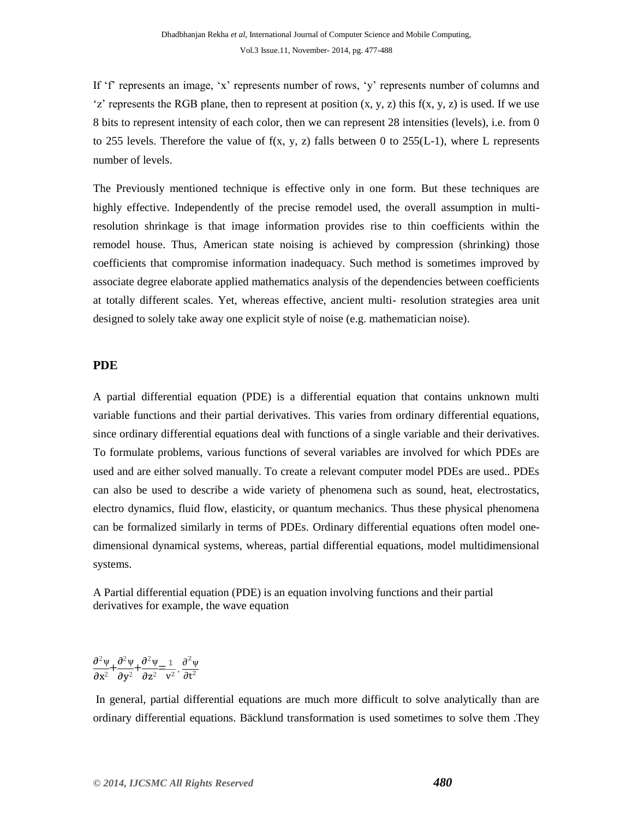If 'f' represents an image, 'x' represents number of rows, 'y' represents number of columns and 'z' represents the RGB plane, then to represent at position  $(x, y, z)$  this  $f(x, y, z)$  is used. If we use 8 bits to represent intensity of each color, then we can represent 28 intensities (levels), i.e. from 0 to 255 levels. Therefore the value of  $f(x, y, z)$  falls between 0 to 255(L-1), where L represents number of levels.

The Previously mentioned technique is effective only in one form. But these techniques are highly effective. Independently of the precise remodel used, the overall assumption in multiresolution shrinkage is that image information provides rise to thin coefficients within the remodel house. Thus, American state noising is achieved by compression (shrinking) those coefficients that compromise information inadequacy. Such method is sometimes improved by associate degree elaborate applied mathematics analysis of the dependencies between coefficients at totally different scales. Yet, whereas effective, ancient multi- resolution strategies area unit designed to solely take away one explicit style of noise (e.g. mathematician noise).

#### **PDE**

A partial differential equation (PDE) is a differential equation that contains unknown multi variable functions and their partial derivatives. This varies from ordinary differential equations, since ordinary differential equations deal with functions of a single variable and their derivatives. To formulate problems, various functions of several variables are involved for which PDEs are used and are either solved manually. To create a relevant computer model PDEs are used.. PDEs can also be used to describe a wide variety of phenomena such as sound, heat, electrostatics, electro dynamics, fluid flow, elasticity, or quantum mechanics. Thus these physical phenomena can be formalized similarly in terms of PDEs. Ordinary differential equations often model onedimensional dynamical systems, whereas, partial differential equations, model multidimensional systems.

A Partial differential equation (PDE) is an equation involving functions and their partial derivatives for example, the wave equation

$$
\frac{\partial^2 \psi}{\partial x^2} + \frac{\partial^2 \psi}{\partial y^2} + \frac{\partial^2 \psi}{\partial z^2} = \frac{1}{v^2} \cdot \frac{\partial^2 \psi}{\partial t^2}
$$

In general, partial differential equations are much more difficult to solve analytically than are ordinary differential equations. Bäcklund transformation is used sometimes to solve them .They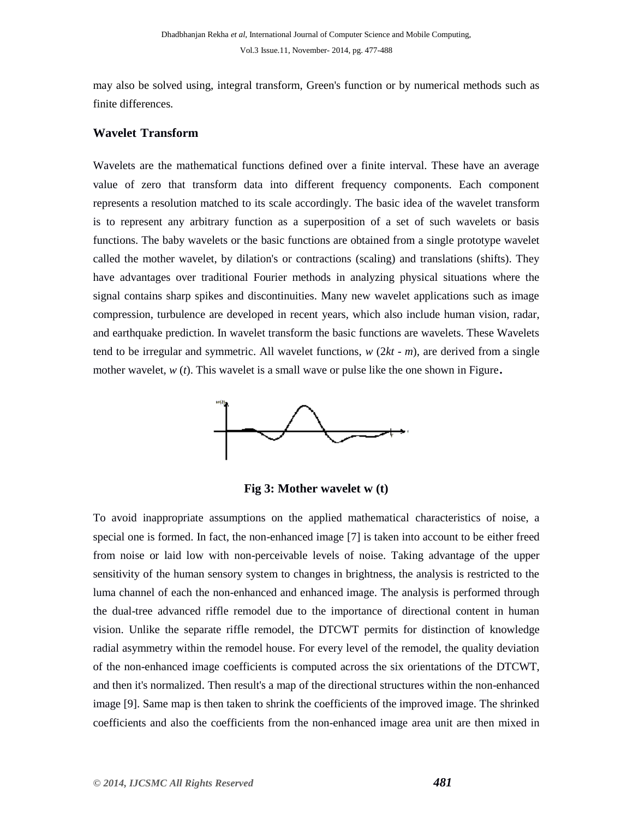may also be solved using, integral transform, Green's function or by numerical methods such as finite differences.

#### **Wavelet Transform**

Wavelets are the mathematical functions defined over a finite interval. These have an average value of zero that transform data into different frequency components. Each component represents a resolution matched to its scale accordingly. The basic idea of the wavelet transform is to represent any arbitrary function as a superposition of a set of such wavelets or basis functions. The baby wavelets or the basic functions are obtained from a single prototype wavelet called the mother wavelet, by dilation's or contractions (scaling) and translations (shifts). They have advantages over traditional Fourier methods in analyzing physical situations where the signal contains sharp spikes and discontinuities. Many new wavelet applications such as image compression, turbulence are developed in recent years, which also include human vision, radar, and earthquake prediction. In wavelet transform the basic functions are wavelets. These Wavelets tend to be irregular and symmetric. All wavelet functions, *w* (2*kt* - *m*), are derived from a single mother wavelet,  $w(t)$ . This wavelet is a small wave or pulse like the one shown in Figure.



**Fig 3: Mother wavelet w (t)**

To avoid inappropriate assumptions on the applied mathematical characteristics of noise, a special one is formed. In fact, the non-enhanced image [7] is taken into account to be either freed from noise or laid low with non-perceivable levels of noise. Taking advantage of the upper sensitivity of the human sensory system to changes in brightness, the analysis is restricted to the luma channel of each the non-enhanced and enhanced image. The analysis is performed through the dual-tree advanced riffle remodel due to the importance of directional content in human vision. Unlike the separate riffle remodel, the DTCWT permits for distinction of knowledge radial asymmetry within the remodel house. For every level of the remodel, the quality deviation of the non-enhanced image coefficients is computed across the six orientations of the DTCWT, and then it's normalized. Then result's a map of the directional structures within the non-enhanced image [9]. Same map is then taken to shrink the coefficients of the improved image. The shrinked coefficients and also the coefficients from the non-enhanced image area unit are then mixed in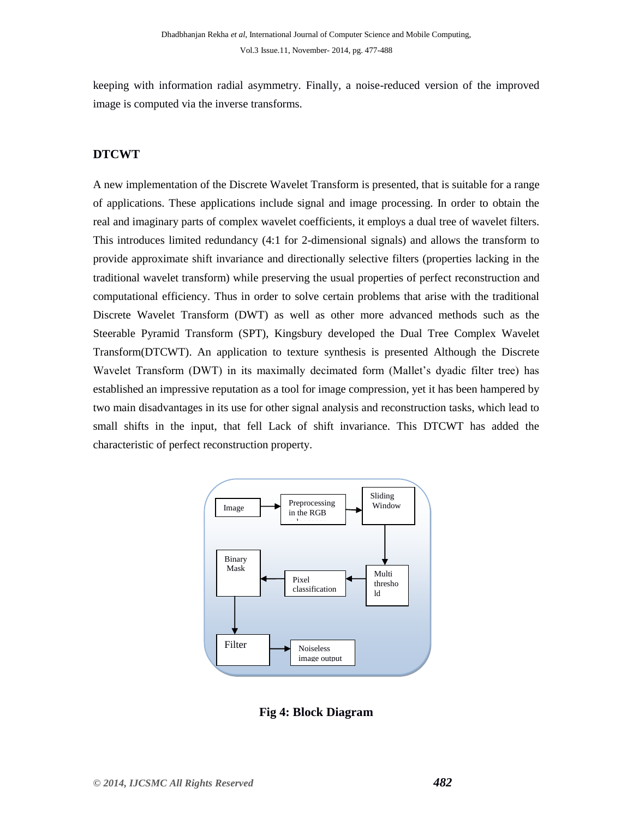keeping with information radial asymmetry. Finally, a noise-reduced version of the improved image is computed via the inverse transforms.

### **DTCWT**

A new implementation of the Discrete Wavelet Transform is presented, that is suitable for a range of applications. These applications include signal and image processing. In order to obtain the real and imaginary parts of complex wavelet coefficients, it employs a dual tree of wavelet filters. This introduces limited redundancy (4:1 for 2-dimensional signals) and allows the transform to provide approximate shift invariance and directionally selective filters (properties lacking in the traditional wavelet transform) while preserving the usual properties of perfect reconstruction and computational efficiency. Thus in order to solve certain problems that arise with the traditional Discrete Wavelet Transform (DWT) as well as other more advanced methods such as the Steerable Pyramid Transform (SPT), Kingsbury developed the Dual Tree Complex Wavelet Transform(DTCWT). An application to texture synthesis is presented Although the Discrete Wavelet Transform (DWT) in its maximally decimated form (Mallet"s dyadic filter tree) has established an impressive reputation as a tool for image compression, yet it has been hampered by two main disadvantages in its use for other signal analysis and reconstruction tasks, which lead to small shifts in the input, that fell Lack of shift invariance. This DTCWT has added the characteristic of perfect reconstruction property.



**Fig 4: Block Diagram**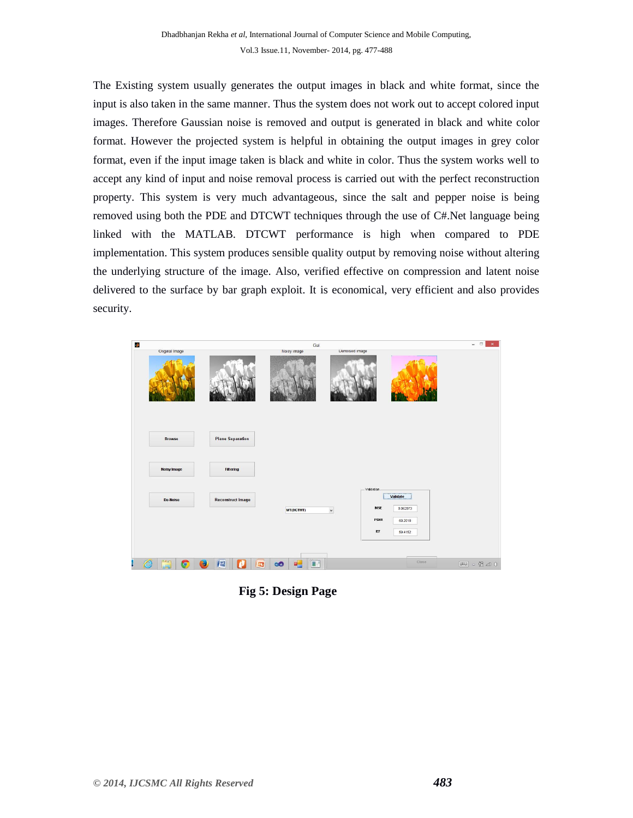The Existing system usually generates the output images in black and white format, since the input is also taken in the same manner. Thus the system does not work out to accept colored input images. Therefore Gaussian noise is removed and output is generated in black and white color format. However the projected system is helpful in obtaining the output images in grey color format, even if the input image taken is black and white in color. Thus the system works well to accept any kind of input and noise removal process is carried out with the perfect reconstruction property. This system is very much advantageous, since the salt and pepper noise is being removed using both the PDE and DTCWT techniques through the use of C#.Net language being linked with the MATLAB. DTCWT performance is high when compared to PDE implementation. This system produces sensible quality output by removing noise without altering the underlying structure of the image. Also, verified effective on compression and latent noise delivered to the surface by bar graph exploit. It is economical, very efficient and also provides security.

| ð.                                                                                 | Gui                                       | $ -$<br>$\mathbf{x}$ .            |
|------------------------------------------------------------------------------------|-------------------------------------------|-----------------------------------|
| Onginal Image                                                                      | Noisy image<br><b>Denoised</b> image      |                                   |
| <b>Plane Separation</b><br><b>Browse</b><br><b>Noisy Image</b><br><b>Filtering</b> |                                           |                                   |
| <b>Reconstruct Image</b><br>De-Noise                                               | - Validation<br>$\checkmark$<br>WT(DCTWT) | Validate<br>MSE<br>0.062073       |
|                                                                                    |                                           | PSNR<br>60.2018<br>IEF<br>59.4152 |
| ł<br>⊜<br>酉<br>$\bullet$<br>ъ                                                      | ĒП<br>$\infty$<br>Ξ¢                      | Close                             |

 **Fig 5: Design Page**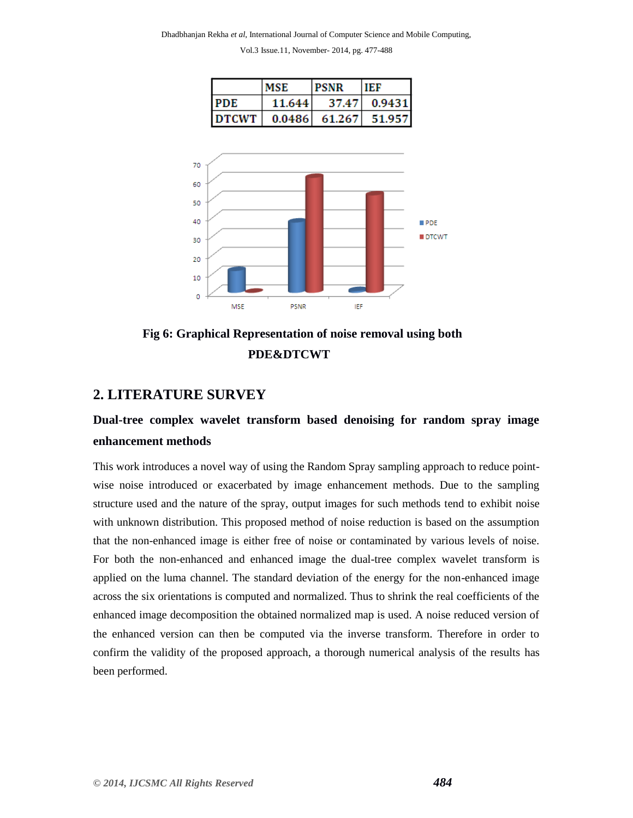|              | <b>MSE</b> | <b>PSNR</b> | TEF           |
|--------------|------------|-------------|---------------|
| <b>PDE</b>   | 11.644     | 37.471      | 0.9431        |
| <b>DTCWT</b> | 0.0486     |             | 61.267 51.957 |



 **Fig 6: Graphical Representation of noise removal using both PDE&DTCWT**

### **2. LITERATURE SURVEY**

# **Dual-tree complex wavelet transform based denoising for random spray image enhancement methods**

This work introduces a novel way of using the Random Spray sampling approach to reduce pointwise noise introduced or exacerbated by image enhancement methods. Due to the sampling structure used and the nature of the spray, output images for such methods tend to exhibit noise with unknown distribution. This proposed method of noise reduction is based on the assumption that the non-enhanced image is either free of noise or contaminated by various levels of noise. For both the non-enhanced and enhanced image the dual-tree complex wavelet transform is applied on the luma channel. The standard deviation of the energy for the non-enhanced image across the six orientations is computed and normalized. Thus to shrink the real coefficients of the enhanced image decomposition the obtained normalized map is used. A noise reduced version of the enhanced version can then be computed via the inverse transform. Therefore in order to confirm the validity of the proposed approach, a thorough numerical analysis of the results has been performed.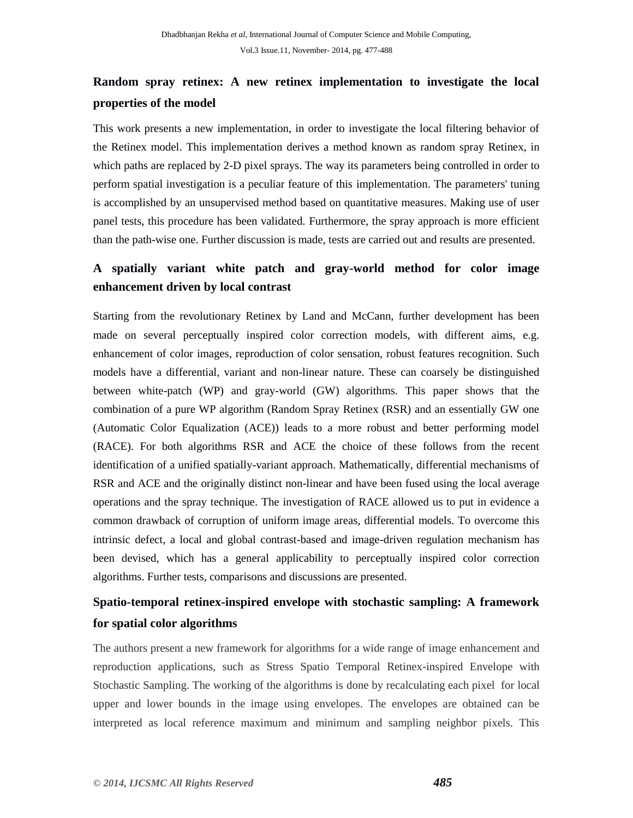# **Random spray retinex: A new retinex implementation to investigate the local properties of the model**

This work presents a new implementation, in order to investigate the local filtering behavior of the Retinex model. This implementation derives a method known as random spray Retinex, in which paths are replaced by 2-D pixel sprays. The way its parameters being controlled in order to perform spatial investigation is a peculiar feature of this implementation. The parameters' tuning is accomplished by an unsupervised method based on quantitative measures. Making use of user panel tests, this procedure has been validated. Furthermore, the spray approach is more efficient than the path-wise one. Further discussion is made, tests are carried out and results are presented.

# **A spatially variant white patch and gray-world method for color image enhancement driven by local contrast**

Starting from the revolutionary Retinex by Land and McCann, further development has been made on several perceptually inspired color correction models, with different aims, e.g. enhancement of color images, reproduction of color sensation, robust features recognition. Such models have a differential, variant and non-linear nature. These can coarsely be distinguished between white-patch (WP) and gray-world (GW) algorithms. This paper shows that the combination of a pure WP algorithm (Random Spray Retinex (RSR) and an essentially GW one (Automatic Color Equalization (ACE)) leads to a more robust and better performing model (RACE). For both algorithms RSR and ACE the choice of these follows from the recent identification of a unified spatially-variant approach. Mathematically, differential mechanisms of RSR and ACE and the originally distinct non-linear and have been fused using the local average operations and the spray technique. The investigation of RACE allowed us to put in evidence a common drawback of corruption of uniform image areas, differential models. To overcome this intrinsic defect, a local and global contrast-based and image-driven regulation mechanism has been devised, which has a general applicability to perceptually inspired color correction algorithms. Further tests, comparisons and discussions are presented.

# **Spatio-temporal retinex-inspired envelope with stochastic sampling: A framework for spatial color algorithms**

The authors present a new framework for algorithms for a wide range of image enhancement and reproduction applications, such as Stress Spatio Temporal Retinex-inspired Envelope with Stochastic Sampling. The working of the algorithms is done by recalculating each pixel for local upper and lower bounds in the image using envelopes. The envelopes are obtained can be interpreted as local reference maximum and minimum and sampling neighbor pixels. This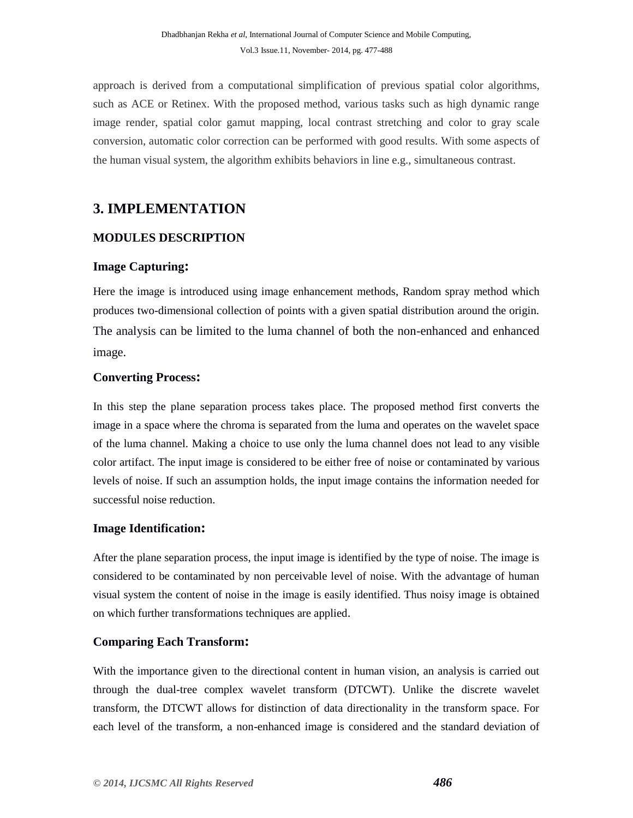approach is derived from a computational simplification of previous spatial color algorithms, such as ACE or Retinex. With the proposed method, various tasks such as high dynamic range image render, spatial color gamut mapping, local contrast stretching and color to gray scale conversion, automatic color correction can be performed with good results. With some aspects of the human visual system, the algorithm exhibits behaviors in line e.g., simultaneous contrast.

# **3. IMPLEMENTATION**

### **MODULES DESCRIPTION**

### **Image Capturing:**

Here the image is introduced using image enhancement methods, Random spray method which produces two-dimensional collection of points with a given spatial distribution around the origin. The analysis can be limited to the luma channel of both the non-enhanced and enhanced image.

### **Converting Process:**

In this step the plane separation process takes place. The proposed method first converts the image in a space where the chroma is separated from the luma and operates on the wavelet space of the luma channel. Making a choice to use only the luma channel does not lead to any visible color artifact. The input image is considered to be either free of noise or contaminated by various levels of noise. If such an assumption holds, the input image contains the information needed for successful noise reduction.

### **Image Identification:**

After the plane separation process, the input image is identified by the type of noise. The image is considered to be contaminated by non perceivable level of noise. With the advantage of human visual system the content of noise in the image is easily identified. Thus noisy image is obtained on which further transformations techniques are applied.

### **Comparing Each Transform:**

With the importance given to the directional content in human vision, an analysis is carried out through the dual-tree complex wavelet transform (DTCWT). Unlike the discrete wavelet transform, the DTCWT allows for distinction of data directionality in the transform space. For each level of the transform, a non-enhanced image is considered and the standard deviation of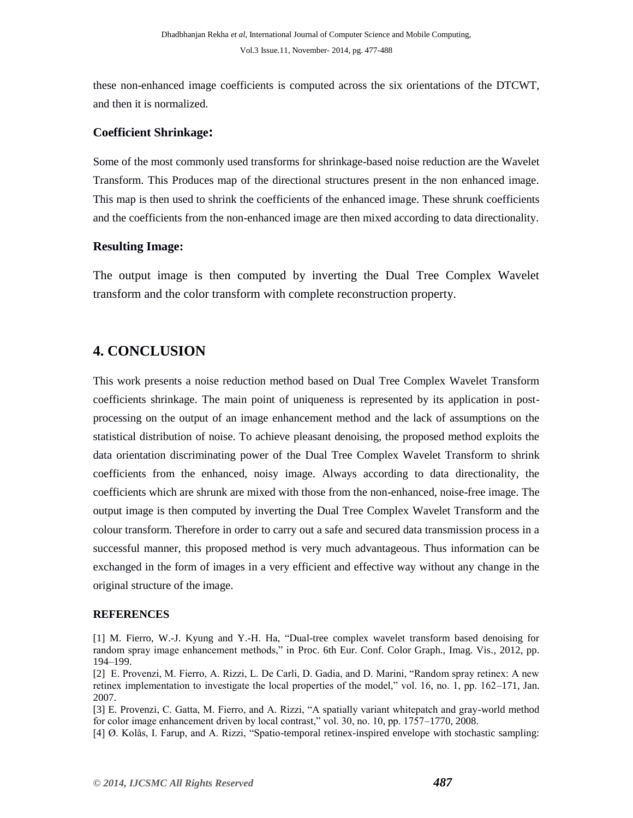these non-enhanced image coefficients is computed across the six orientations of the DTCWT, and then it is normalized.

### **Coefficient Shrinkage:**

Some of the most commonly used transforms for shrinkage-based noise reduction are the Wavelet Transform. This Produces map of the directional structures present in the non enhanced image. This map is then used to shrink the coefficients of the enhanced image. These shrunk coefficients and the coefficients from the non-enhanced image are then mixed according to data directionality.

### **Resulting Image:**

The output image is then computed by inverting the Dual Tree Complex Wavelet transform and the color transform with complete reconstruction property.

# **4. CONCLUSION**

This work presents a noise reduction method based on Dual Tree Complex Wavelet Transform coefficients shrinkage. The main point of uniqueness is represented by its application in postprocessing on the output of an image enhancement method and the lack of assumptions on the statistical distribution of noise. To achieve pleasant denoising, the proposed method exploits the data orientation discriminating power of the Dual Tree Complex Wavelet Transform to shrink coefficients from the enhanced, noisy image. Always according to data directionality, the coefficients which are shrunk are mixed with those from the non-enhanced, noise-free image. The output image is then computed by inverting the Dual Tree Complex Wavelet Transform and the colour transform. Therefore in order to carry out a safe and secured data transmission process in a successful manner, this proposed method is very much advantageous. Thus information can be exchanged in the form of images in a very efficient and effective way without any change in the original structure of the image.

#### **REFERENCES**

[3] E. Provenzi, C. Gatta, M. Fierro, and A. Rizzi, "A spatially variant whitepatch and gray-world method for color image enhancement driven by local contrast," vol. 30, no. 10, pp. 1757–1770, 2008.

[4] Ø. Kolås, I. Farup, and A. Rizzi, "Spatio-temporal retinex-inspired envelope with stochastic sampling:

<sup>[1]</sup> M. Fierro, W.-J. Kyung and Y.-H. Ha, "Dual-tree complex wavelet transform based denoising for random spray image enhancement methods," in Proc. 6th Eur. Conf. Color Graph., Imag. Vis., 2012, pp. 194–199.

<sup>[2]</sup> E. Provenzi, M. Fierro, A. Rizzi, L. De Carli, D. Gadia, and D. Marini, "Random spray retinex: A new retinex implementation to investigate the local properties of the model," vol. 16, no. 1, pp. 162–171, Jan. 2007.